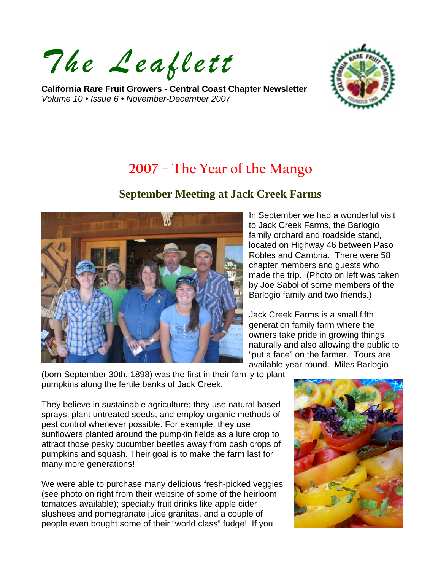*The Leaflett*

**California Rare Fruit Growers - Central Coast Chapter Newsletter**  *Volume 10 • Issue 6 • November-December 2007* 



# **2007 – The Year of the Mango**

### **September Meeting at Jack Creek Farms**



In September we had a wonderful visit to Jack Creek Farms, the Barlogio family orchard and roadside stand, located on Highway 46 between Paso Robles and Cambria. There were 58 chapter members and guests who made the trip. (Photo on left was taken by Joe Sabol of some members of the Barlogio family and two friends.)

Jack Creek Farms is a small fifth generation family farm where the owners take pride in growing things naturally and also allowing the public to "put a face" on the farmer. Tours are available year-round. Miles Barlogio

(born September 30th, 1898) was the first in their family to plant pumpkins along the fertile banks of Jack Creek.

They believe in sustainable agriculture; they use natural based sprays, plant untreated seeds, and employ organic methods of pest control whenever possible. For example, they use sunflowers planted around the pumpkin fields as a lure crop to attract those pesky cucumber beetles away from cash crops of pumpkins and squash. Their goal is to make the farm last for many more generations!

We were able to purchase many delicious fresh-picked veggies (see photo on right from their website of some of the heirloom tomatoes available); specialty fruit drinks like apple cider slushees and pomegranate juice granitas, and a couple of people even bought some of their "world class" fudge! If you

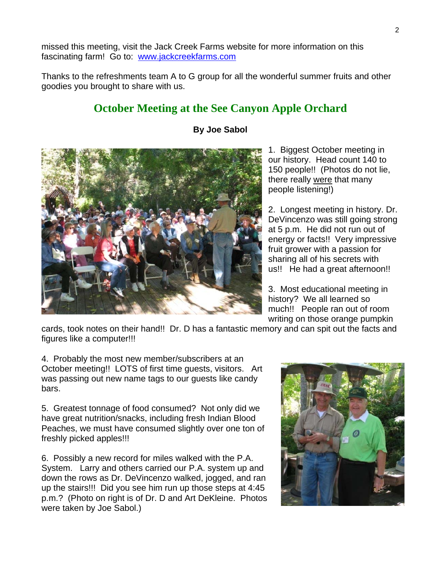missed this meeting, visit the Jack Creek Farms website for more information on this fascinating farm! Go to: [www.jackcreekfarms.com](http://www.jackcreekfarms.com/) 

Thanks to the refreshments team A to G group for all the wonderful summer fruits and other goodies you brought to share with us.

## **October Meeting at the See Canyon Apple Orchard**



#### **By Joe Sabol**

1. Biggest October meeting in our history. Head count 140 to 150 people!! (Photos do not lie, there really were that many people listening!)

2. Longest meeting in history. Dr. DeVincenzo was still going strong at 5 p.m. He did not run out of energy or facts!! Very impressive fruit grower with a passion for sharing all of his secrets with us!! He had a great afternoon!!

3. Most educational meeting in history? We all learned so much!! People ran out of room writing on those orange pumpkin

cards, took notes on their hand!! Dr. D has a fantastic memory and can spit out the facts and figures like a computer!!!

4. Probably the most new member/subscribers at an October meeting!! LOTS of first time guests, visitors. Art was passing out new name tags to our guests like candy bars.

5. Greatest tonnage of food consumed? Not only did we have great nutrition/snacks, including fresh Indian Blood Peaches, we must have consumed slightly over one ton of freshly picked apples!!!

6. Possibly a new record for miles walked with the P.A. System. Larry and others carried our P.A. system up and down the rows as Dr. DeVincenzo walked, jogged, and ran up the stairs!!! Did you see him run up those steps at 4:45 p.m.? (Photo on right is of Dr. D and Art DeKleine. Photos were taken by Joe Sabol.)

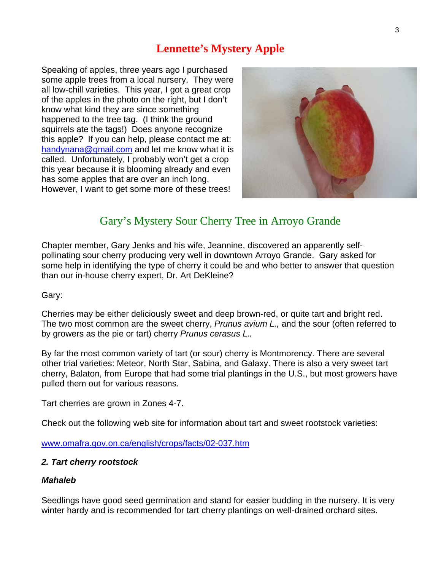## **Lennette's Mystery Apple**

Speaking of apples, three years ago I purchased some apple trees from a local nursery. They were all low-chill varieties. This year, I got a great crop of the apples in the photo on the right, but I don't know what kind they are since something happened to the tree tag. (I think the ground squirrels ate the tags!) Does anyone recognize this apple? If you can help, please contact me at: [handynana@gmail.com](mailto:handynana@gmail.com) and let me know what it is called. Unfortunately, I probably won't get a crop this year because it is blooming already and even has some apples that are over an inch long. However, I want to get some more of these trees!



## Gary's Mystery Sour Cherry Tree in Arroyo Grande

Chapter member, Gary Jenks and his wife, Jeannine, discovered an apparently selfpollinating sour cherry producing very well in downtown Arroyo Grande. Gary asked for some help in identifying the type of cherry it could be and who better to answer that question than our in-house cherry expert, Dr. Art DeKleine?

#### Gary:

Cherries may be either deliciously sweet and deep brown-red, or quite tart and bright red. The two most common are the sweet cherry, *Prunus avium L.,* and the sour (often referred to by growers as the pie or tart) cherry *Prunus cerasus L..*

By far the most common variety of tart (or sour) cherry is Montmorency. There are several other trial varieties: Meteor, North Star, Sabina, and Galaxy. There is also a very sweet tart cherry, Balaton, from Europe that had some trial plantings in the U.S., but most growers have pulled them out for various reasons.

Tart cherries are grown in Zones 4-7.

Check out the following web site for information about tart and sweet rootstock varieties:

[www.omafra.gov.on.ca/english/crops/facts/02-037.htm](http://www.omafra.gov.on.ca/english/crops/facts/02-037.htm)

#### *2. Tart cherry rootstock*

#### *Mahaleb*

Seedlings have good seed germination and stand for easier budding in the nursery. It is very winter hardy and is recommended for tart cherry plantings on well-drained orchard sites.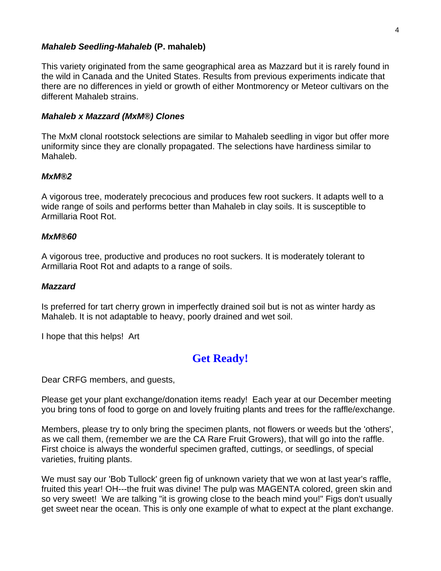#### *Mahaleb Seedling-Mahaleb* **(P. mahaleb)**

This variety originated from the same geographical area as Mazzard but it is rarely found in the wild in Canada and the United States. Results from previous experiments indicate that there are no differences in yield or growth of either Montmorency or Meteor cultivars on the different Mahaleb strains.

#### *Mahaleb x Mazzard (MxM®) Clones*

The MxM clonal rootstock selections are similar to Mahaleb seedling in vigor but offer more uniformity since they are clonally propagated. The selections have hardiness similar to Mahaleb.

#### *MxM®2*

A vigorous tree, moderately precocious and produces few root suckers. It adapts well to a wide range of soils and performs better than Mahaleb in clay soils. It is susceptible to Armillaria Root Rot.

#### *MxM®60*

A vigorous tree, productive and produces no root suckers. It is moderately tolerant to Armillaria Root Rot and adapts to a range of soils.

#### *Mazzard*

Is preferred for tart cherry grown in imperfectly drained soil but is not as winter hardy as Mahaleb. It is not adaptable to heavy, poorly drained and wet soil.

I hope that this helps! Art

## **Get Ready!**

Dear CRFG members, and guests,

Please get your plant exchange/donation items ready! Each year at our December meeting you bring tons of food to gorge on and lovely fruiting plants and trees for the raffle/exchange.

Members, please try to only bring the specimen plants, not flowers or weeds but the 'others', as we call them, (remember we are the CA Rare Fruit Growers), that will go into the raffle. First choice is always the wonderful specimen grafted, cuttings, or seedlings, of special varieties, fruiting plants.

We must say our 'Bob Tullock' green fig of unknown variety that we won at last year's raffle, fruited this year! OH---the fruit was divine! The pulp was MAGENTA colored, green skin and so very sweet! We are talking "it is growing close to the beach mind you!" Figs don't usually get sweet near the ocean. This is only one example of what to expect at the plant exchange.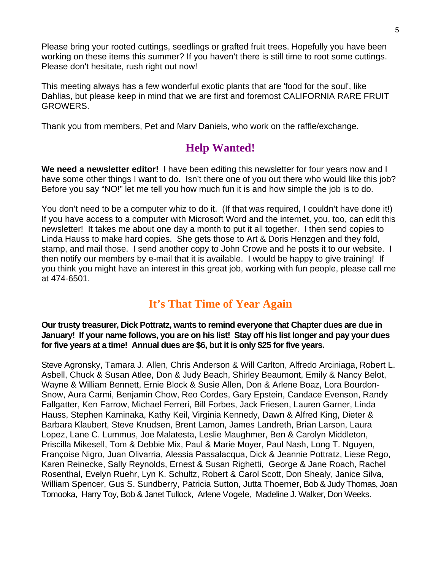Please bring your rooted cuttings, seedlings or grafted fruit trees. Hopefully you have been working on these items this summer? If you haven't there is still time to root some cuttings. Please don't hesitate, rush right out now!

This meeting always has a few wonderful exotic plants that are 'food for the soul', like Dahlias, but please keep in mind that we are first and foremost CALIFORNIA RARE FRUIT GROWERS.

Thank you from members, Pet and Marv Daniels, who work on the raffle/exchange.

## **Help Wanted!**

**We need a newsletter editor!** I have been editing this newsletter for four years now and I have some other things I want to do. Isn't there one of you out there who would like this job? Before you say "NO!" let me tell you how much fun it is and how simple the job is to do.

You don't need to be a computer whiz to do it. (If that was required, I couldn't have done it!) If you have access to a computer with Microsoft Word and the internet, you, too, can edit this newsletter! It takes me about one day a month to put it all together. I then send copies to Linda Hauss to make hard copies. She gets those to Art & Doris Henzgen and they fold, stamp, and mail those. I send another copy to John Crowe and he posts it to our website. I then notify our members by e-mail that it is available. I would be happy to give training! If you think you might have an interest in this great job, working with fun people, please call me at 474-6501.

## **It's That Time of Year Again**

**Our trusty treasurer, Dick Pottratz, wants to remind everyone that Chapter dues are due in January! If your name follows, you are on his list! Stay off his list longer and pay your dues for five years at a time! Annual dues are \$6, but it is only \$25 for five years.** 

Steve Agronsky, Tamara J. Allen, Chris Anderson & Will Carlton, Alfredo Arciniaga, Robert L. Asbell, Chuck & Susan Atlee, Don & Judy Beach, Shirley Beaumont, Emily & Nancy Belot, Wayne & William Bennett, Ernie Block & Susie Allen, Don & Arlene Boaz, Lora Bourdon-Snow, Aura Carmi, Benjamin Chow, Reo Cordes, Gary Epstein, Candace Evenson, Randy Fallgatter, Ken Farrow, Michael Ferreri, Bill Forbes, Jack Friesen, Lauren Garner, Linda Hauss, Stephen Kaminaka, Kathy Keil, Virginia Kennedy, Dawn & Alfred King, Dieter & Barbara Klaubert, Steve Knudsen, Brent Lamon, James Landreth, Brian Larson, Laura Lopez, Lane C. Lummus, Joe Malatesta, Leslie Maughmer, Ben & Carolyn Middleton, Priscilla Mikesell, Tom & Debbie Mix, Paul & Marie Moyer, Paul Nash, Long T. Nguyen, Françoise Nigro, Juan Olivarria, Alessia Passalacqua, Dick & Jeannie Pottratz, Liese Rego, Karen Reinecke, Sally Reynolds, Ernest & Susan Righetti, George & Jane Roach, Rachel Rosenthal, Evelyn Ruehr, Lyn K. Schultz, Robert & Carol Scott, Don Shealy, Janice Silva, William Spencer, Gus S. Sundberry, Patricia Sutton, Jutta Thoerner, Bob & Judy Thomas, Joan Tomooka, Harry Toy, Bob & Janet Tullock, Arlene Vogele, Madeline J. Walker, Don Weeks.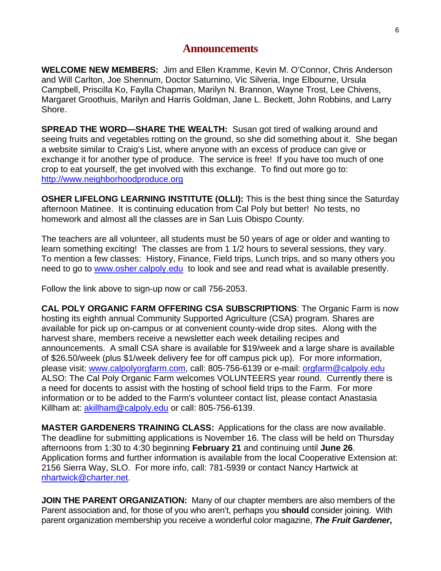#### **Announcements**

**WELCOME NEW MEMBERS:** Jim and Ellen Kramme, Kevin M. O'Connor, Chris Anderson and Will Carlton, Joe Shennum, Doctor Saturnino, Vic Silveria, Inge Elbourne, Ursula Campbell, Priscilla Ko, Faylla Chapman, Marilyn N. Brannon, Wayne Trost, Lee Chivens, Margaret Groothuis, Marilyn and Harris Goldman, Jane L. Beckett, John Robbins, and Larry Shore.

**SPREAD THE WORD—SHARE THE WEALTH:** Susan got tired of walking around and seeing fruits and vegetables rotting on the ground, so she did something about it. She began a website similar to Craig's List, where anyone with an excess of produce can give or exchange it for another type of produce. The service is free! If you have too much of one crop to eat yourself, the get involved with this exchange. To find out more go to: [http://www.neighborhoodproduce.org](http://www.neighborhoodproduce.org/)

**OSHER LIFELONG LEARNING INSTITUTE (OLLI):** This is the best thing since the Saturday afternoon Matinee. It is continuing education from Cal Poly but better! No tests, no homework and almost all the classes are in San Luis Obispo County.

The teachers are all volunteer, all students must be 50 years of age or older and wanting to learn something exciting! The classes are from 1 1/2 hours to several sessions, they vary. To mention a few classes: History, Finance, Field trips, Lunch trips, and so many others you need to go to [www.osher.calpoly.edu](http://www.osher.calpoly.edu/) to look and see and read what is available presently.

Follow the link above to sign-up now or call 756-2053.

**CAL POLY ORGANIC FARM OFFERING CSA SUBSCRIPTIONS**: The Organic Farm is now hosting its eighth annual Community Supported Agriculture (CSA) program. Shares are available for pick up on-campus or at convenient county-wide drop sites. Along with the harvest share, members receive a newsletter each week detailing recipes and announcements. A small CSA share is available for \$19/week and a large share is available of \$26.50/week (plus \$1/week delivery fee for off campus pick up). For more information, please visit: [www.calpolyorgfarm.com,](http://www.calpolyorgfarm.com/) call: 805-756-6139 or e-mail: [orgfarm@calpoly.edu](mailto:orgfarm@calpoly.edu)  ALSO: The Cal Poly Organic Farm welcomes VOLUNTEERS year round. Currently there is a need for docents to assist with the hosting of school field trips to the Farm. For more information or to be added to the Farm's volunteer contact list, please contact Anastasia Killham at: [akillham@calpoly.edu](mailto:akillham@calpoly.edu) or call: 805-756-6139.

**MASTER GARDENERS TRAINING CLASS:** Applications for the class are now available. The deadline for submitting applications is November 16. The class will be held on Thursday afternoons from 1:30 to 4:30 beginning **February 21** and continuing until **June 26**. Application forms and further information is available from the local Cooperative Extension at: 2156 Sierra Way, SLO. For more info, call: 781-5939 or contact Nancy Hartwick at [nhartwick@charter.net.](mailto:nhartwick@charter.net)

**JOIN THE PARENT ORGANIZATION:** Many of our chapter members are also members of the Parent association and, for those of you who aren't, perhaps you **should** consider joining. With parent organization membership you receive a wonderful color magazine, *The Fruit Gardener***,**